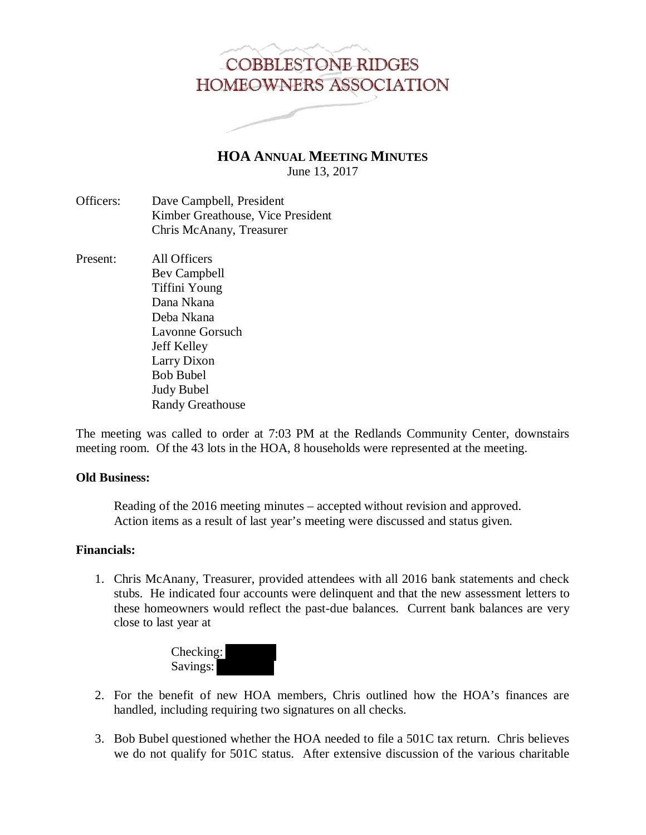# **COBBLESTONE RIDGES** HOMEOWNERS ASSOCIATION

**HOA ANNUAL MEETING MINUTES** June 13, 2017

- Officers: Dave Campbell, President Kimber Greathouse, Vice President Chris McAnany, Treasurer
- Present: All Officers Bev Campbell Tiffini Young Dana Nkana Deba Nkana Lavonne Gorsuch Jeff Kelley Larry Dixon Bob Bubel Judy Bubel Randy Greathouse

The meeting was called to order at 7:03 PM at the Redlands Community Center, downstairs meeting room. Of the 43 lots in the HOA, 8 households were represented at the meeting.

## **Old Business:**

 Reading of the 2016 meeting minutes – accepted without revision and approved. Action items as a result of last year's meeting were discussed and status given.

### **Financials:**

1. Chris McAnany, Treasurer, provided attendees with all 2016 bank statements and check stubs. He indicated four accounts were delinquent and that the new assessment letters to these homeowners would reflect the past-due balances. Current bank balances are very close to last year at



- 2. For the benefit of new HOA members, Chris outlined how the HOA's finances are handled, including requiring two signatures on all checks.
- 3. Bob Bubel questioned whether the HOA needed to file a 501C tax return. Chris believes we do not qualify for 501C status. After extensive discussion of the various charitable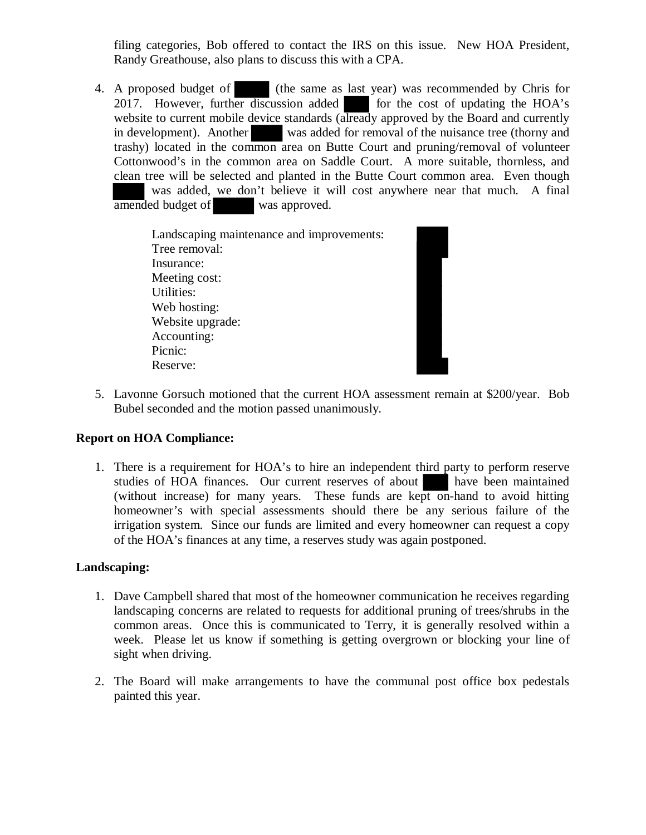filing categories, Bob offered to contact the IRS on this issue. New HOA President, Randy Greathouse, also plans to discuss this with a CPA.

4. A proposed budget of (the same as last year) was recommended by Chris for 2017. However, further discussion added for the cost of updating the HOA's website to current mobile device standards (already approved by the Board and currently in development). Another was added for removal of the nuisance tree (thorny and trashy) located in the common area on Butte Court and pruning/removal of volunteer Cottonwood's in the common area on Saddle Court. A more suitable, thornless, and clean tree will be selected and planted in the Butte Court common area. Even though was added, we don't believe it will cost anywhere near that much. A final amended budget of was approved.

> Landscaping maintenance and improvements: Tree removal: Insurance: Meeting cost: Utilities: Web hosting: Website upgrade: Accounting: Picnic: Reserve:

5. Lavonne Gorsuch motioned that the current HOA assessment remain at \$200/year. Bob Bubel seconded and the motion passed unanimously.

## **Report on HOA Compliance:**

1. There is a requirement for HOA's to hire an independent third party to perform reserve studies of HOA finances. Our current reserves of about have been maintained (without increase) for many years. These funds are kept on-hand to avoid hitting homeowner's with special assessments should there be any serious failure of the irrigation system. Since our funds are limited and every homeowner can request a copy of the HOA's finances at any time, a reserves study was again postponed.

# **Landscaping:**

- 1. Dave Campbell shared that most of the homeowner communication he receives regarding landscaping concerns are related to requests for additional pruning of trees/shrubs in the common areas. Once this is communicated to Terry, it is generally resolved within a week. Please let us know if something is getting overgrown or blocking your line of sight when driving.
- 2. The Board will make arrangements to have the communal post office box pedestals painted this year.